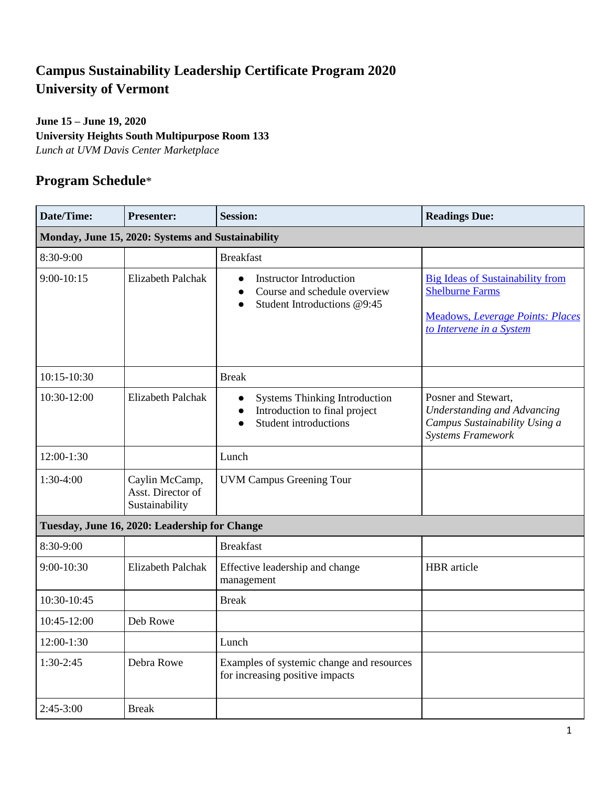## **Campus Sustainability Leadership Certificate Program 2020 University of Vermont**

## **June 15 – June 19, 2020 University Heights South Multipurpose Room 133** *Lunch at UVM Davis Center Marketplace*

## **Program Schedule**\*

| Date/Time:                                        | <b>Presenter:</b>                                     | <b>Session:</b>                                                                                                                      | <b>Readings Due:</b>                                                                                                                     |  |  |  |
|---------------------------------------------------|-------------------------------------------------------|--------------------------------------------------------------------------------------------------------------------------------------|------------------------------------------------------------------------------------------------------------------------------------------|--|--|--|
| Monday, June 15, 2020: Systems and Sustainability |                                                       |                                                                                                                                      |                                                                                                                                          |  |  |  |
| 8:30-9:00                                         |                                                       | <b>Breakfast</b>                                                                                                                     |                                                                                                                                          |  |  |  |
| $9:00-10:15$                                      | <b>Elizabeth Palchak</b>                              | <b>Instructor Introduction</b><br>$\bullet$<br>Course and schedule overview<br>$\bullet$<br>Student Introductions @9:45<br>$\bullet$ | <b>Big Ideas of Sustainability from</b><br><b>Shelburne Farms</b><br><b>Meadows, Leverage Points: Places</b><br>to Intervene in a System |  |  |  |
| $10:15-10:30$                                     |                                                       | <b>Break</b>                                                                                                                         |                                                                                                                                          |  |  |  |
| 10:30-12:00                                       | <b>Elizabeth Palchak</b>                              | <b>Systems Thinking Introduction</b><br>$\bullet$<br>Introduction to final project<br><b>Student introductions</b>                   | Posner and Stewart,<br><b>Understanding and Advancing</b><br>Campus Sustainability Using a<br><b>Systems Framework</b>                   |  |  |  |
| $12:00-1:30$                                      |                                                       | Lunch                                                                                                                                |                                                                                                                                          |  |  |  |
| 1:30-4:00                                         | Caylin McCamp,<br>Asst. Director of<br>Sustainability | <b>UVM Campus Greening Tour</b>                                                                                                      |                                                                                                                                          |  |  |  |
|                                                   | Tuesday, June 16, 2020: Leadership for Change         |                                                                                                                                      |                                                                                                                                          |  |  |  |
| 8:30-9:00                                         |                                                       | <b>Breakfast</b>                                                                                                                     |                                                                                                                                          |  |  |  |
| 9:00-10:30                                        | <b>Elizabeth Palchak</b>                              | Effective leadership and change<br>management                                                                                        | <b>HBR</b> article                                                                                                                       |  |  |  |
| 10:30-10:45                                       |                                                       | <b>Break</b>                                                                                                                         |                                                                                                                                          |  |  |  |
| 10:45-12:00                                       | Deb Rowe                                              |                                                                                                                                      |                                                                                                                                          |  |  |  |
| $12:00-1:30$                                      |                                                       | Lunch                                                                                                                                |                                                                                                                                          |  |  |  |
| $1:30-2:45$                                       | Debra Rowe                                            | Examples of systemic change and resources<br>for increasing positive impacts                                                         |                                                                                                                                          |  |  |  |
| $2:45-3:00$                                       | <b>Break</b>                                          |                                                                                                                                      |                                                                                                                                          |  |  |  |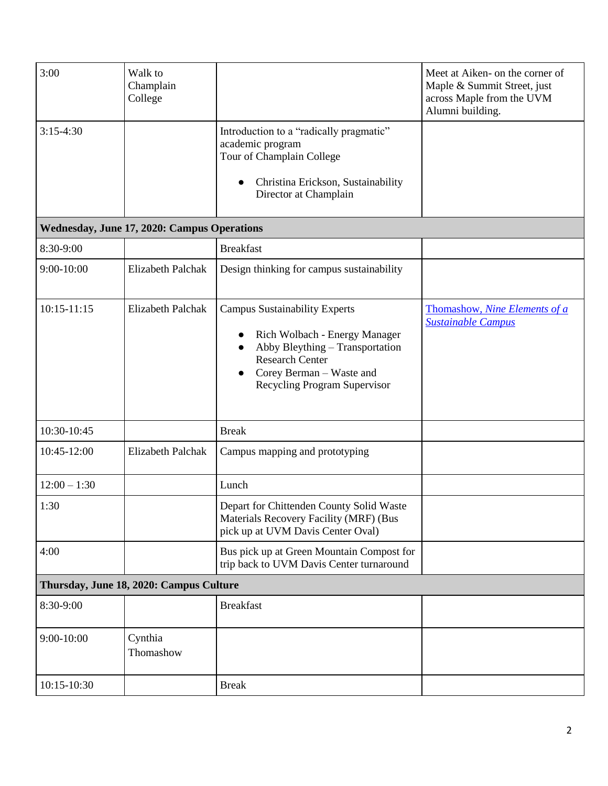| 3:00                                        | Walk to<br>Champlain<br>College |                                                                                                                                                                                                | Meet at Aiken- on the corner of<br>Maple & Summit Street, just<br>across Maple from the UVM<br>Alumni building. |  |  |  |  |
|---------------------------------------------|---------------------------------|------------------------------------------------------------------------------------------------------------------------------------------------------------------------------------------------|-----------------------------------------------------------------------------------------------------------------|--|--|--|--|
| $3:15-4:30$                                 |                                 | Introduction to a "radically pragmatic"<br>academic program<br>Tour of Champlain College                                                                                                       |                                                                                                                 |  |  |  |  |
|                                             |                                 | Christina Erickson, Sustainability<br>Director at Champlain                                                                                                                                    |                                                                                                                 |  |  |  |  |
| Wednesday, June 17, 2020: Campus Operations |                                 |                                                                                                                                                                                                |                                                                                                                 |  |  |  |  |
| 8:30-9:00                                   |                                 | <b>Breakfast</b>                                                                                                                                                                               |                                                                                                                 |  |  |  |  |
| 9:00-10:00                                  | Elizabeth Palchak               | Design thinking for campus sustainability                                                                                                                                                      |                                                                                                                 |  |  |  |  |
| $10:15 - 11:15$                             | Elizabeth Palchak               | <b>Campus Sustainability Experts</b><br>Rich Wolbach - Energy Manager<br>Abby Bleything - Transportation<br><b>Research Center</b><br>Corey Berman - Waste and<br>Recycling Program Supervisor | Thomashow, Nine Elements of a<br><b>Sustainable Campus</b>                                                      |  |  |  |  |
| 10:30-10:45                                 |                                 | <b>Break</b>                                                                                                                                                                                   |                                                                                                                 |  |  |  |  |
| 10:45-12:00                                 | <b>Elizabeth Palchak</b>        | Campus mapping and prototyping                                                                                                                                                                 |                                                                                                                 |  |  |  |  |
| $12:00 - 1:30$                              |                                 | Lunch                                                                                                                                                                                          |                                                                                                                 |  |  |  |  |
| 1:30                                        |                                 | Depart for Chittenden County Solid Waste<br>Materials Recovery Facility (MRF) (Bus<br>pick up at UVM Davis Center Oval)                                                                        |                                                                                                                 |  |  |  |  |
| 4:00                                        |                                 | Bus pick up at Green Mountain Compost for<br>trip back to UVM Davis Center turnaround                                                                                                          |                                                                                                                 |  |  |  |  |
| Thursday, June 18, 2020: Campus Culture     |                                 |                                                                                                                                                                                                |                                                                                                                 |  |  |  |  |
| 8:30-9:00                                   |                                 | <b>Breakfast</b>                                                                                                                                                                               |                                                                                                                 |  |  |  |  |
| $9:00-10:00$                                | Cynthia<br>Thomashow            |                                                                                                                                                                                                |                                                                                                                 |  |  |  |  |
| 10:15-10:30                                 |                                 | <b>Break</b>                                                                                                                                                                                   |                                                                                                                 |  |  |  |  |